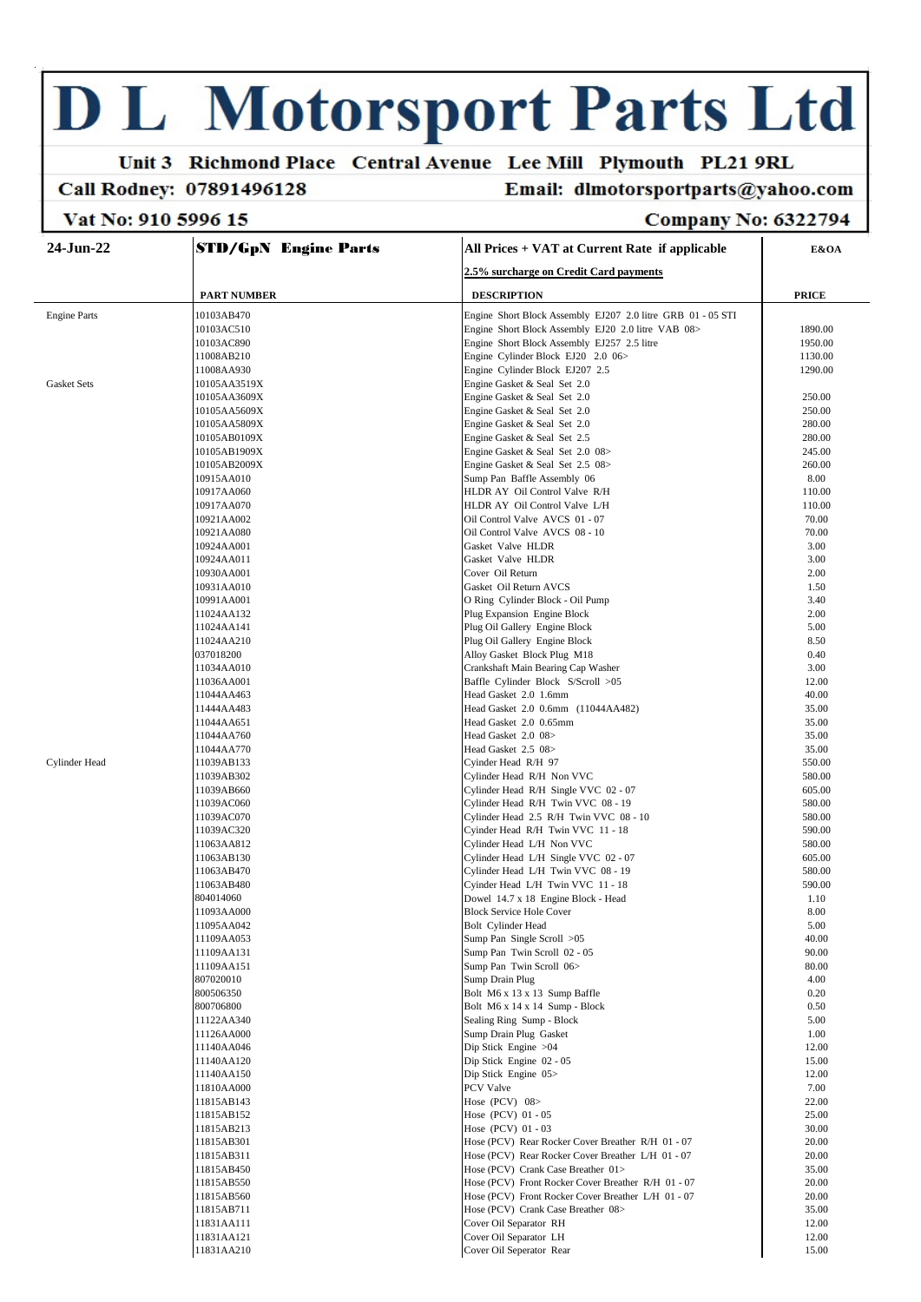# **D L Motorsport Parts Ltd**

## Unit 3 Richmond Place Central Avenue Lee Mill Plymouth PL21 9RL

#### **Call Rodney: 07891496128**

## Email: dlmotorsportparts@yahoo.com

### Vat No: 910 5996 15

#### **Company No: 6322794**

| $24-Jun-22$         | <b>STD/GpN Engine Parts</b> | All Prices + VAT at Current Rate if applicable              | E&OA         |
|---------------------|-----------------------------|-------------------------------------------------------------|--------------|
|                     |                             | 2.5% surcharge on Credit Card payments                      |              |
|                     | <b>PART NUMBER</b>          | <b>DESCRIPTION</b>                                          | <b>PRICE</b> |
| <b>Engine Parts</b> | 10103AB470                  | Engine Short Block Assembly EJ207 2.0 litre GRB 01 - 05 STI |              |
|                     | 10103AC510                  | Engine Short Block Assembly EJ20 2.0 litre VAB 08>          | 1890.00      |
|                     | 10103AC890                  | Engine Short Block Assembly EJ257 2.5 litre                 | 1950.00      |
|                     | 11008AB210                  | Engine Cylinder Block EJ20 2.0 06>                          | 1130.00      |
|                     | 11008AA930                  | Engine Cylinder Block EJ207 2.5                             | 1290.00      |
| <b>Gasket Sets</b>  | 10105AA3519X                | Engine Gasket & Seal Set 2.0                                |              |
|                     | 10105AA3609X                | Engine Gasket & Seal Set 2.0                                | 250.00       |
|                     | 10105AA5609X                | Engine Gasket & Seal Set 2.0                                | 250.00       |
|                     | 10105AA5809X                | Engine Gasket & Seal Set 2.0                                | 280.00       |
|                     | 10105AB0109X                | Engine Gasket & Seal Set 2.5                                | 280.00       |
|                     | 10105AB1909X                | Engine Gasket & Seal Set 2.0 08>                            | 245.00       |
|                     | 10105AB2009X                | Engine Gasket & Seal Set 2.5 08>                            | 260.00       |
|                     | 10915AA010                  | Sump Pan Baffle Assembly 06                                 | 8.00         |
|                     | 10917AA060                  | HLDR AY Oil Control Valve R/H                               | 110.00       |
|                     | 10917AA070                  | HLDR AY Oil Control Valve L/H                               | 110.00       |
|                     | 10921AA002                  | Oil Control Valve AVCS 01 - 07                              | 70.00        |
|                     | 10921AA080                  | Oil Control Valve AVCS 08 - 10                              | 70.00        |
|                     | 10924AA001                  | Gasket Valve HLDR                                           | 3.00         |
|                     | 10924AA011                  | Gasket Valve HLDR                                           | 3.00         |
|                     | 10930AA001                  | Cover Oil Return                                            | 2.00         |
|                     | 10931AA010                  | Gasket Oil Return AVCS                                      | 1.50         |
|                     | 10991AA001                  | O Ring Cylinder Block - Oil Pump                            | 3.40         |
|                     | 11024AA132                  | Plug Expansion Engine Block                                 | 2.00         |
|                     | 11024AA141                  | Plug Oil Gallery Engine Block                               | 5.00         |
|                     | 11024AA210                  | Plug Oil Gallery Engine Block                               | 8.50         |
|                     | 037018200                   | Alloy Gasket Block Plug M18                                 | 0.40         |
|                     | 11034AA010                  | Crankshaft Main Bearing Cap Washer                          | 3.00         |
|                     | 11036AA001                  | Baffle Cylinder Block S/Scroll >05                          | 12.00        |
|                     | 11044AA463                  | Head Gasket 2.0 1.6mm                                       | 40.00        |
|                     | 11444AA483                  | Head Gasket 2.0 0.6mm (11044AA482)                          | 35.00        |
|                     | 11044AA651                  | Head Gasket 2.0 0.65mm                                      | 35.00        |
|                     | 11044AA760                  | Head Gasket 2.0 08>                                         | 35.00        |
|                     | 11044AA770                  | Head Gasket 2.5 08>                                         | 35.00        |
| Cylinder Head       | 11039AB133                  | Cyinder Head R/H 97                                         | 550.00       |
|                     | 11039AB302                  | Cylinder Head R/H Non VVC                                   | 580.00       |
|                     | 11039AB660                  | Cylinder Head R/H Single VVC 02 - 07                        | 605.00       |
|                     | 11039AC060                  | Cylinder Head R/H Twin VVC 08 - 19                          | 580.00       |
|                     | 11039AC070                  | Cylinder Head 2.5 R/H Twin VVC 08 - 10                      | 580.00       |
|                     | 11039AC320                  | Cyinder Head R/H Twin VVC 11 - 18                           | 590.00       |
|                     | 11063AA812                  | Cylinder Head L/H Non VVC                                   | 580.00       |
|                     | 11063AB130                  | Cylinder Head L/H Single VVC 02 - 07                        | 605.00       |
|                     | 11063AB470                  | Cylinder Head L/H Twin VVC 08 - 19                          | 580.00       |
|                     | 11063AB480                  | Cyinder Head L/H Twin VVC 11 - 18                           | 590.00       |
|                     | 804014060                   | Dowel 14.7 x 18 Engine Block - Head                         | 1.10         |
|                     | 11093AA000                  | <b>Block Service Hole Cover</b>                             | 8.00         |
|                     | 11095AA042                  | Bolt Cylinder Head                                          | 5.00         |
|                     | 11109AA053                  | Sump Pan Single Scroll >05                                  | 40.00        |
|                     | 11109AA131                  | Sump Pan Twin Scroll 02 - 05                                | 90.00        |
|                     | 11109AA151                  | Sump Pan Twin Scroll 06>                                    | 80.00        |
|                     | 807020010                   | Sump Drain Plug                                             | 4.00         |
|                     | 800506350                   | Bolt M6 x 13 x 13 Sump Baffle                               | 0.20         |
|                     | 800706800                   | Bolt M6 x 14 x 14 Sump - Block                              | 0.50         |
|                     | 11122AA340                  | Sealing Ring Sump - Block                                   | 5.00         |
|                     | 11126AA000                  | Sump Drain Plug Gasket                                      | 1.00         |
|                     | 11140AA046                  | Dip Stick Engine >04                                        | 12.00        |
|                     | 11140AA120                  | Dip Stick Engine 02 - 05                                    | 15.00        |
|                     | 11140AA150                  | Dip Stick Engine 05>                                        | 12.00        |
|                     | 11810AA000                  | PCV Valve                                                   | 7.00         |
|                     | 11815AB143                  | Hose (PCV) 08>                                              | 22.00        |
|                     | 11815AB152                  | Hose (PCV) 01 - 05                                          | 25.00        |
|                     | 11815AB213                  | Hose (PCV) 01 - 03                                          | 30.00        |
|                     | 11815AB301                  | Hose (PCV) Rear Rocker Cover Breather R/H 01 - 07           | 20.00        |
|                     | 11815AB311                  | Hose (PCV) Rear Rocker Cover Breather L/H 01 - 07           | 20.00        |
|                     | 11815AB450                  | Hose (PCV) Crank Case Breather 01>                          | 35.00        |
|                     | 11815AB550                  | Hose (PCV) Front Rocker Cover Breather R/H 01 - 07          | 20.00        |
|                     | 11815AB560                  | Hose (PCV) Front Rocker Cover Breather L/H 01 - 07          | 20.00        |
|                     | 11815AB711                  | Hose (PCV) Crank Case Breather 08>                          | 35.00        |
|                     | 11831AA111                  | Cover Oil Separator RH                                      | 12.00        |
|                     | 11831AA121                  | Cover Oil Separator LH                                      | 12.00        |
|                     | 11831AA210                  | Cover Oil Seperator Rear                                    | 15.00        |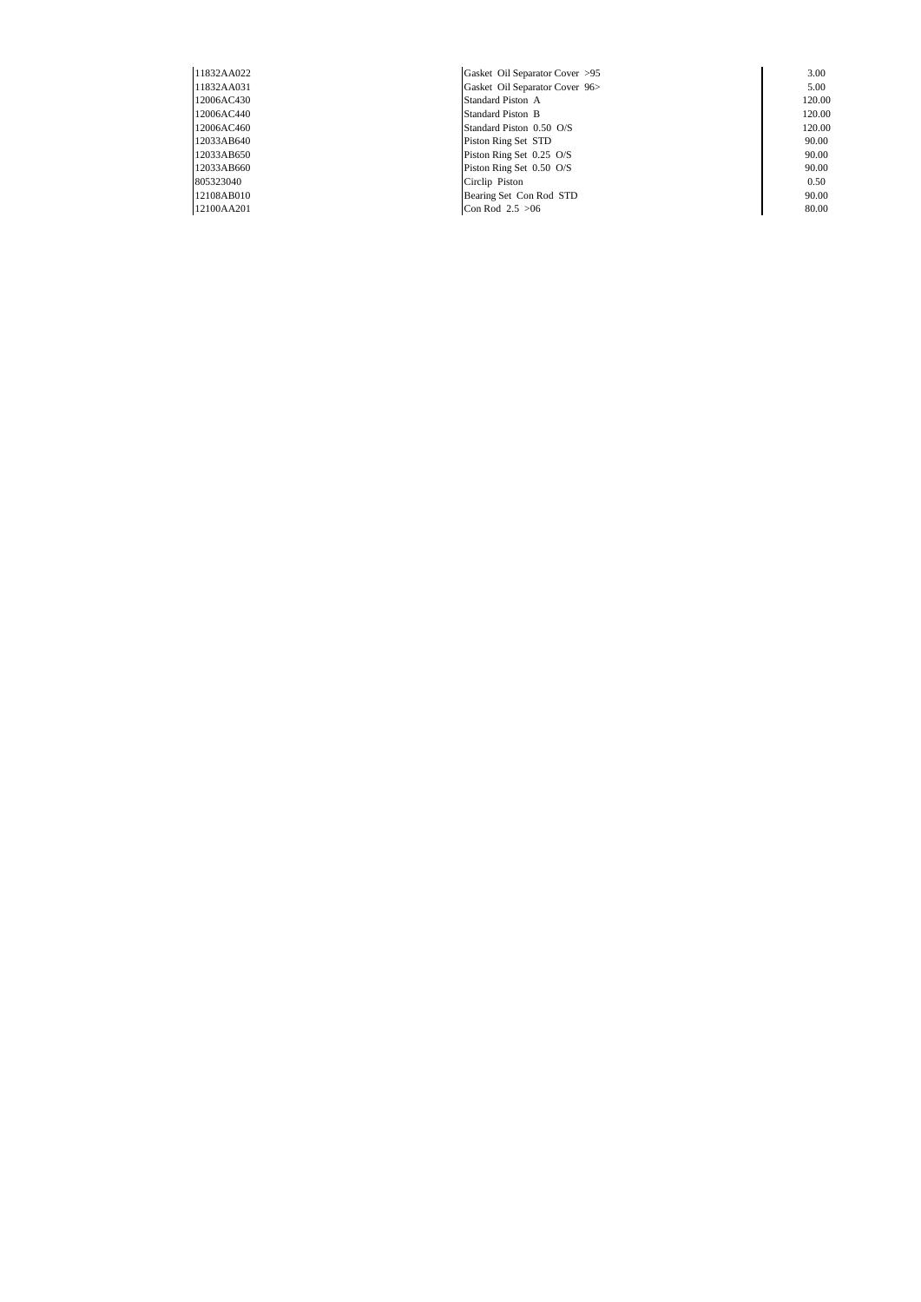| 11832AA022 | Gasket Oil Separator Cover >95 | 3.00   |
|------------|--------------------------------|--------|
| 11832AA031 | Gasket Oil Separator Cover 96> | 5.00   |
| 12006AC430 | Standard Piston A              | 120.00 |
| 12006AC440 | <b>Standard Piston B</b>       | 120.00 |
| 12006AC460 | Standard Piston 0.50 O/S       | 120.00 |
| 12033AB640 | Piston Ring Set STD            | 90.00  |
| 12033AB650 | Piston Ring Set 0.25 O/S       | 90.00  |
| 12033AB660 | Piston Ring Set 0.50 O/S       | 90.00  |
| 805323040  | Circlip Piston                 | 0.50   |
| 12108AB010 | Bearing Set Con Rod STD        | 90.00  |
| 12100AA201 | Con Rod $2.5 > 06$             | 80.00  |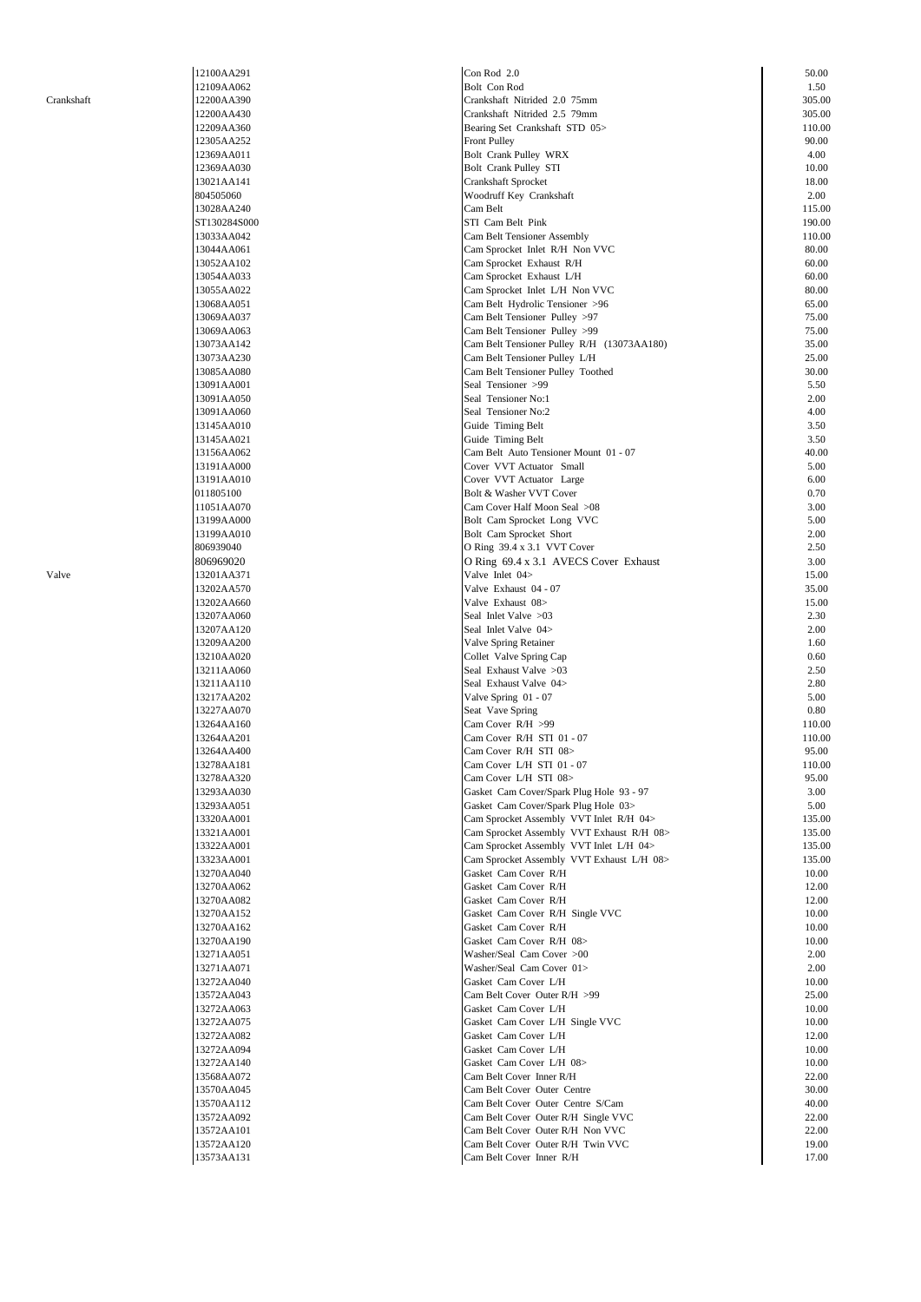| 12100AA291                |  |
|---------------------------|--|
| 12109AA062                |  |
| 12200AA390                |  |
| 12200AA430                |  |
| 12209AA360                |  |
| 12305AA252                |  |
|                           |  |
| 12369AA01<br>$\mathbf{1}$ |  |
| 2369AA030<br>1            |  |
| 3021AA141<br>1            |  |
| 804505060                 |  |
| 13028AA240                |  |
|                           |  |
| ST130284S000              |  |
| 13033AA042                |  |
| 13044AA061                |  |
| 13052AA102                |  |
| 13054AA033                |  |
| 13055AA022                |  |
|                           |  |
| 13068AA051                |  |
| 13069AA037                |  |
| 3069AA063<br>1            |  |
| 3073AA142<br>1            |  |
| 3073AA230<br>1            |  |
| 3085AA080                 |  |
| 1                         |  |
| 13091AA001                |  |
| 13091AA050                |  |
| 13091AA060                |  |
| 13145AA010                |  |
| 13145AA021                |  |
|                           |  |
| 13156AA062                |  |
| 13191AA000                |  |
| 13191AA010                |  |
| 011805100                 |  |
| 11051AA070                |  |
| 3199AA000<br>1            |  |
| 13199AA010                |  |
|                           |  |
| 806939040                 |  |
| 806969020                 |  |
| 13201AA371                |  |
| 13202AA570                |  |
| 13202AA660                |  |
|                           |  |
| 13207AA060                |  |
|                           |  |
| 3207AA120<br>1            |  |
| 13209AA200                |  |
|                           |  |
| 13210AA020                |  |
| 13211AA060                |  |
| 13211AA110                |  |
| 3217AA202<br>1            |  |
| 3227AA070<br>1            |  |
| 3264AA160<br>1            |  |
|                           |  |
| 13264AA201                |  |
| l<br>3264AA400            |  |
| 13278AA181                |  |
| 278AA320<br>1<br>3.       |  |
| 13293AA030                |  |
| 3293AA051<br>1            |  |
| 13320AA001                |  |
| 13321AA001                |  |
|                           |  |
| 13322AA001                |  |
| 13323AA001                |  |
| 3270AA040<br>1            |  |
| 3270AA062<br>1            |  |
| 3270AA082<br>1            |  |
| 13270AA152                |  |
|                           |  |
| 13270AA162                |  |
| 13270AA190                |  |
| 271AA051<br>13.           |  |
| 13271AA071                |  |
| 13272AA040                |  |
| 13572AA043                |  |
|                           |  |
| 13272AA063                |  |
| 13272AA075                |  |
| 3272AA082<br>1            |  |
| 3272AA094<br>1            |  |
| 13272AA140                |  |
| 3568AA072<br>1            |  |
| 13570AA045                |  |
|                           |  |
| 13570AA112                |  |
| 13572AA092                |  |
| 13572AA101                |  |
| 13572AA120<br>13573AA131  |  |

|            | 12100AA291   | Con Rod 2.0                                | 50.00  |
|------------|--------------|--------------------------------------------|--------|
|            | 12109AA062   | Bolt Con Rod                               | 1.50   |
| Crankshaft | 12200AA390   | Crankshaft Nitrided 2.0 75mm               | 305.00 |
|            |              |                                            |        |
|            | 12200AA430   | Crankshaft Nitrided 2.5 79mm               | 305.00 |
|            | 12209AA360   | Bearing Set Crankshaft STD 05>             | 110.00 |
|            | 12305AA252   | <b>Front Pulley</b>                        | 90.00  |
|            | 12369AA011   | Bolt Crank Pulley WRX                      | 4.00   |
|            |              |                                            |        |
|            | 12369AA030   | Bolt Crank Pulley STI                      | 10.00  |
|            | 13021AA141   | Crankshaft Sprocket                        | 18.00  |
|            | 804505060    | Woodruff Key Crankshaft                    | 2.00   |
|            | 13028AA240   | Cam Belt                                   | 115.00 |
|            |              |                                            |        |
|            | ST130284S000 | STI Cam Belt Pink                          | 190.00 |
|            | 13033AA042   | Cam Belt Tensioner Assembly                | 110.00 |
|            | 13044AA061   | Cam Sprocket Inlet R/H Non VVC             | 80.00  |
|            | 13052AA102   | Cam Sprocket Exhaust R/H                   | 60.00  |
|            |              |                                            |        |
|            | 13054AA033   | Cam Sprocket Exhaust L/H                   | 60.00  |
|            | 13055AA022   | Cam Sprocket Inlet L/H Non VVC             | 80.00  |
|            | 13068AA051   | Cam Belt Hydrolic Tensioner >96            | 65.00  |
|            | 13069AA037   | Cam Belt Tensioner Pulley >97              | 75.00  |
|            |              |                                            |        |
|            | 13069AA063   | Cam Belt Tensioner Pulley >99              | 75.00  |
|            | 13073AA142   | Cam Belt Tensioner Pulley R/H (13073AA180) | 35.00  |
|            | 13073AA230   | Cam Belt Tensioner Pulley L/H              | 25.00  |
|            | 13085AA080   | Cam Belt Tensioner Pulley Toothed          | 30.00  |
|            |              |                                            |        |
|            | 13091AA001   | Seal Tensioner >99                         | 5.50   |
|            | 13091AA050   | Seal Tensioner No:1                        | 2.00   |
|            | 13091AA060   | Seal Tensioner No:2                        | 4.00   |
|            |              |                                            | 3.50   |
|            | 13145AA010   | Guide Timing Belt                          |        |
|            | 13145AA021   | Guide Timing Belt                          | 3.50   |
|            | 13156AA062   | Cam Belt Auto Tensioner Mount 01 - 07      | 40.00  |
|            | 13191AA000   | Cover VVT Actuator Small                   | 5.00   |
|            |              |                                            |        |
|            | 13191AA010   | Cover VVT Actuator Large                   | 6.00   |
|            | 011805100    | Bolt & Washer VVT Cover                    | 0.70   |
|            | 11051AA070   | Cam Cover Half Moon Seal >08               | 3.00   |
|            | 13199AA000   | Bolt Cam Sprocket Long VVC                 | 5.00   |
|            |              |                                            | 2.00   |
|            | 13199AA010   | Bolt Cam Sprocket Short                    |        |
|            | 806939040    | O Ring 39.4 x 3.1 VVT Cover                | 2.50   |
|            | 806969020    | O Ring 69.4 x 3.1 AVECS Cover Exhaust      | 3.00   |
| Valve      | 13201AA371   | Valve Inlet 04>                            | 15.00  |
|            |              |                                            |        |
|            | 13202AA570   | Valve Exhaust 04 - 07                      | 35.00  |
|            | 13202AA660   | Valve Exhaust 08>                          | 15.00  |
|            | 13207AA060   | Seal Inlet Valve > 03                      | 2.30   |
|            | 13207AA120   | Seal Inlet Valve 04>                       | 2.00   |
|            |              |                                            |        |
|            | 13209AA200   | Valve Spring Retainer                      | 1.60   |
|            | 13210AA020   | Collet Valve Spring Cap                    | 0.60   |
|            | 13211AA060   | Seal Exhaust Valve >03                     | 2.50   |
|            | 13211AA110   | Seal Exhaust Valve 04>                     | 2.80   |
|            |              |                                            |        |
|            | 13217AA202   | Valve Spring 01 - 07                       | 5.00   |
|            | 13227AA070   | Seat Vave Spring                           | 0.80   |
|            | 13264AA160   | Cam Cover R/H >99                          | 110.00 |
|            | 13264AA201   | Cam Cover R/H STI 01 - 07                  | 110.00 |
|            |              |                                            |        |
|            | 13264AA400   | Cam Cover R/H STI 08>                      | 95.00  |
|            | 13278AA181   | Cam Cover L/H STI 01 - 07                  | 110.00 |
|            | 13278AA320   | Cam Cover L/H STI 08>                      | 95.00  |
|            | 13293AA030   | Gasket Cam Cover/Spark Plug Hole 93 - 97   | 3.00   |
|            |              |                                            |        |
|            | 13293AA051   | Gasket Cam Cover/Spark Plug Hole 03>       | 5.00   |
|            | 13320AA001   | Cam Sprocket Assembly VVT Inlet R/H 04>    | 135.00 |
|            | 13321AA001   | Cam Sprocket Assembly VVT Exhaust R/H 08>  | 135.00 |
|            |              |                                            |        |
|            | 13322AA001   | Cam Sprocket Assembly VVT Inlet L/H 04>    | 135.00 |
|            | 13323AA001   | Cam Sprocket Assembly VVT Exhaust L/H 08>  | 135.00 |
|            | 13270AA040   | Gasket Cam Cover R/H                       | 10.00  |
|            | 13270AA062   | Gasket Cam Cover R/H                       | 12.00  |
|            |              |                                            |        |
|            | 13270AA082   | Gasket Cam Cover R/H                       | 12.00  |
|            | 13270AA152   | Gasket Cam Cover R/H Single VVC            | 10.00  |
|            | 13270AA162   | Gasket Cam Cover R/H                       | 10.00  |
|            | 13270AA190   | Gasket Cam Cover R/H 08>                   | 10.00  |
|            |              |                                            |        |
|            | 13271AA051   | Washer/Seal Cam Cover >00                  | 2.00   |
|            | 13271AA071   | Washer/Seal Cam Cover 01>                  | 2.00   |
|            | 13272AA040   | Gasket Cam Cover L/H                       | 10.00  |
|            | 13572AA043   | Cam Belt Cover Outer R/H >99               | 25.00  |
|            |              |                                            |        |
|            | 13272AA063   | Gasket Cam Cover L/H                       | 10.00  |
|            | 13272AA075   | Gasket Cam Cover L/H Single VVC            | 10.00  |
|            | 13272AA082   | Gasket Cam Cover L/H                       | 12.00  |
|            |              |                                            |        |
|            | 13272AA094   | Gasket Cam Cover L/H                       | 10.00  |
|            | 13272AA140   | Gasket Cam Cover L/H 08>                   | 10.00  |
|            | 13568AA072   | Cam Belt Cover Inner R/H                   | 22.00  |
|            | 13570AA045   | Cam Belt Cover Outer Centre                | 30.00  |
|            |              |                                            |        |
|            | 13570AA112   | Cam Belt Cover Outer Centre S/Cam          | 40.00  |
|            | 13572AA092   | Cam Belt Cover Outer R/H Single VVC        | 22.00  |
|            | 13572AA101   | Cam Belt Cover Outer R/H Non VVC           | 22.00  |
|            |              |                                            |        |
|            | 13572AA120   | Cam Belt Cover Outer R/H Twin VVC          | 19.00  |
|            | 13573AA131   | Cam Belt Cover Inner R/H                   | 17.00  |
|            |              |                                            |        |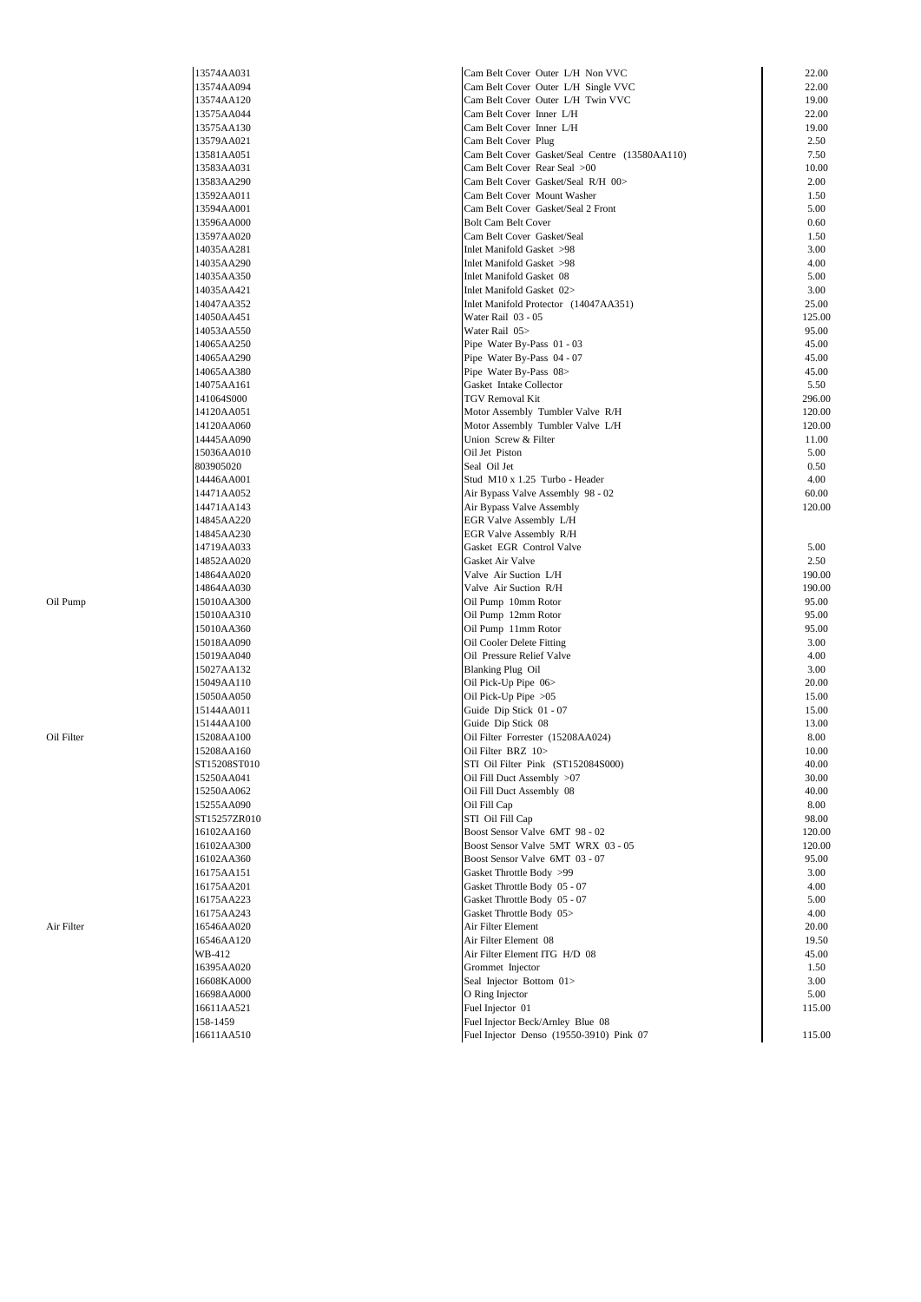|            | 13574AA031   | Cam Belt Cover Outer L/H Non VVC               | 22.00  |
|------------|--------------|------------------------------------------------|--------|
|            | 13574AA094   | Cam Belt Cover Outer L/H Single VVC            | 22.00  |
|            | 13574AA120   | Cam Belt Cover Outer L/H Twin VVC              | 19.00  |
|            | 13575AA044   | Cam Belt Cover Inner L/H                       | 22.00  |
|            | 13575AA130   | Cam Belt Cover Inner L/H                       | 19.00  |
|            | 13579AA021   | Cam Belt Cover Plug                            | 2.50   |
|            | 13581AA051   | Cam Belt Cover Gasket/Seal Centre (13580AA110) | 7.50   |
|            | 13583AA031   | Cam Belt Cover Rear Seal >00                   | 10.00  |
|            | 13583AA290   | Cam Belt Cover Gasket/Seal R/H 00>             | 2.00   |
|            | 13592AA011   | Cam Belt Cover Mount Washer                    | 1.50   |
|            |              |                                                | 5.00   |
|            | 13594AA001   | Cam Belt Cover Gasket/Seal 2 Front             |        |
|            | 13596AA000   | <b>Bolt Cam Belt Cover</b>                     | 0.60   |
|            | 13597AA020   | Cam Belt Cover Gasket/Seal                     | 1.50   |
|            | 14035AA281   | Inlet Manifold Gasket >98                      | 3.00   |
|            | 14035AA290   | Inlet Manifold Gasket >98                      | 4.00   |
|            | 14035AA350   | Inlet Manifold Gasket 08                       | 5.00   |
|            | 14035AA421   | Inlet Manifold Gasket 02>                      | 3.00   |
|            | 14047AA352   | Inlet Manifold Protector (14047AA351)          | 25.00  |
|            | 14050AA451   | Water Rail 03 - 05                             | 125.00 |
|            | 14053AA550   | Water Rail 05>                                 | 95.00  |
|            | 14065AA250   | Pipe Water By-Pass 01 - 03                     | 45.00  |
|            | 14065AA290   | Pipe Water By-Pass 04 - 07                     | 45.00  |
|            | 14065AA380   | Pipe Water By-Pass 08>                         | 45.00  |
|            | 14075AA161   | Gasket Intake Collector                        | 5.50   |
|            | 141064S000   | TGV Removal Kit                                | 296.00 |
|            | 14120AA051   | Motor Assembly Tumbler Valve R/H               | 120.00 |
|            | 14120AA060   | Motor Assembly Tumbler Valve L/H               | 120.00 |
|            | 14445AA090   | Union Screw & Filter                           | 11.00  |
|            | 15036AA010   | Oil Jet Piston                                 | 5.00   |
|            | 803905020    | Seal Oil Jet                                   | 0.50   |
|            | 14446AA001   | Stud M10 x 1.25 Turbo - Header                 | 4.00   |
|            | 14471AA052   | Air Bypass Valve Assembly 98 - 02              | 60.00  |
|            |              |                                                |        |
|            | 14471AA143   | Air Bypass Valve Assembly                      | 120.00 |
|            | 14845AA220   | EGR Valve Assembly L/H                         |        |
|            | 14845AA230   | EGR Valve Assembly R/H                         |        |
|            | 14719AA033   | Gasket EGR Control Valve                       | 5.00   |
|            | 14852AA020   | Gasket Air Valve                               | 2.50   |
|            | 14864AA020   | Valve Air Suction L/H                          | 190.00 |
|            | 14864AA030   | Valve Air Suction R/H                          | 190.00 |
| Oil Pump   | 15010AA300   | Oil Pump 10mm Rotor                            | 95.00  |
|            | 15010AA310   | Oil Pump 12mm Rotor                            | 95.00  |
|            | 15010AA360   | Oil Pump 11mm Rotor                            | 95.00  |
|            | 15018AA090   | Oil Cooler Delete Fitting                      | 3.00   |
|            | 15019AA040   | Oil Pressure Relief Valve                      | 4.00   |
|            | 15027AA132   | <b>Blanking Plug Oil</b>                       | 3.00   |
|            | 15049AA110   | Oil Pick-Up Pipe 06>                           | 20.00  |
|            | 15050AA050   | Oil Pick-Up Pipe $>05$                         | 15.00  |
|            | 15144AA011   | Guide Dip Stick 01 - 07                        | 15.00  |
|            | 15144AA100   | Guide Dip Stick 08                             | 13.00  |
| Oil Filter | 15208AA100   | Oil Filter Forrester (15208AA024)              | 8.00   |
|            | 15208AA160   | Oil Filter BRZ 10>                             | 10.00  |
|            | ST15208ST010 | STI Oil Filter Pink (ST152084S000)             | 40.00  |
|            |              | Oil Fill Duct Assembly >07                     | 30.00  |
|            | 15250AA041   |                                                |        |
|            | 15250AA062   | Oil Fill Duct Assembly 08                      | 40.00  |
|            | 15255AA090   | Oil Fill Cap                                   | 8.00   |
|            | ST15257ZR010 | STI Oil Fill Cap                               | 98.00  |
|            | 16102AA160   | Boost Sensor Valve 6MT 98 - 02                 | 120.00 |
|            | 16102AA300   | Boost Sensor Valve 5MT WRX 03 - 05             | 120.00 |
|            | 16102AA360   | Boost Sensor Valve 6MT 03 - 07                 | 95.00  |
|            | 16175AA151   | Gasket Throttle Body >99                       | 3.00   |
|            | 16175AA201   | Gasket Throttle Body 05 - 07                   | 4.00   |
|            | 16175AA223   | Gasket Throttle Body 05 - 07                   | 5.00   |
|            | 16175AA243   | Gasket Throttle Body 05>                       | 4.00   |
| Air Filter | 16546AA020   | Air Filter Element                             | 20.00  |
|            | 16546AA120   | Air Filter Element 08                          | 19.50  |
|            | WB-412       | Air Filter Element ITG H/D 08                  | 45.00  |
|            | 16395AA020   | Grommet Injector                               | 1.50   |
|            | 16608KA000   | Seal Injector Bottom 01>                       | 3.00   |
|            | 16698AA000   | O Ring Injector                                | 5.00   |
|            | 16611AA521   | Fuel Injector 01                               | 115.00 |
|            | 158-1459     | Fuel Injector Beck/Arnley Blue 08              |        |
|            | 16611AA510   | Fuel Injector Denso (19550-3910) Pink 07       | 115.00 |
|            |              |                                                |        |